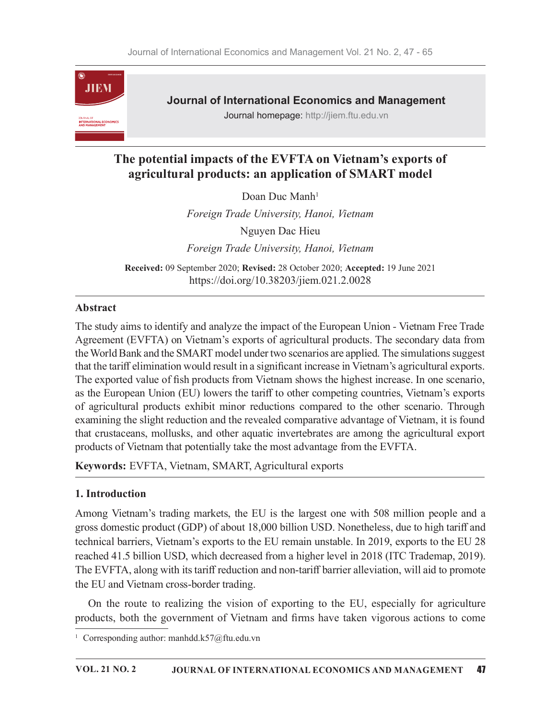

Journal of International Economics and Management

Journal homepage: http://jiem.ftu.edu.vn

# The potential impacts of the EVFTA on Vietnam's exports of agricultural products: an application of SMART model

Doan Duc Manh<sup>1</sup> Foreign Trade University, Hanoi, Vietnam Nguyen Dac Hieu Foreign Trade University, Hanoi, Vietnam

Received: 09 September 2020; Revised: 28 October 2020; Accepted: 19 June 2021 https://doi.org/10.38203/jiem.021.2.0028

## Abstract

The study aims to identify and analyze the impact of the European Union - Vietnam Free Trade Agreement (EVFTA) on Vietnam's exports of agricultural products. The secondary data from the World Bank and the SMART model under two scenarios are applied. The simulations suggest that the tariff elimination would result in a significant increase in Vietnam's agricultural exports. The exported value of fish products from Vietnam shows the highest increase. In one scenario, as the European Union (EU) lowers the tariff to other competing countries, Vietnam's exports of agricultural products exhibit minor reductions compared to the other scenario. Through examining the slight reduction and the revealed comparative advantage of Vietnam, it is found that crustaceans, mollusks, and other aquatic invertebrates are among the agricultural export products of Vietnam that potentially take the most advantage from the EVFTA.

Keywords: EVFTA, Vietnam, SMART, Agricultural exports

## 1. Introduction

Among Vietnam's trading markets, the EU is the largest one with 508 million people and a gross domestic product (GDP) of about 18,000 billion USD. Nonetheless, due to high tariff and technical barriers, Vietnam's exports to the EU remain unstable. In 2019, exports to the EU 28 reached 41.5 billion USD, which decreased from a higher level in 2018 (ITC Trademap, 2019). The EVFTA, along with its tariff reduction and non-tariff barrier alleviation, will aid to promote the EU and Vietnam cross-border trading.

On the route to realizing the vision of exporting to the EU, especially for agriculture products, both the government of Vietnam and firms have taken vigorous actions to come

<sup>1</sup> Corresponding author: manhdd.k57@ftu.edu.vn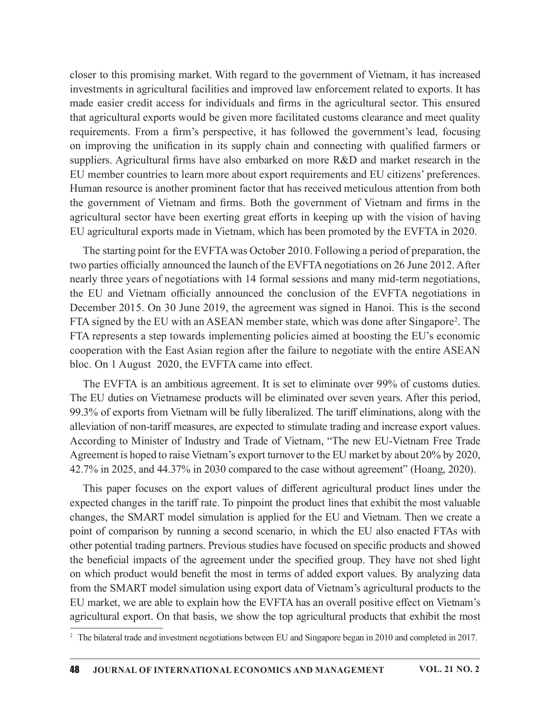closer to this promising market. With regard to the government of Vietnam, it has increased investments in agricultural facilities and improved law enforcement related to exports. It has made easier credit access for individuals and firms in the agricultural sector. This ensured that agricultural exports would be given more facilitated customs clearance and meet quality closer to this promising market. With regard to the government of Vietnam, it has increased<br>investments in agricultural facilities and improved law enforcement related to exports. It has<br>made easier credit access for indiv on improving the unification in its supply chain and connecting with qualified farmers or suppliers. Agricultural firms have also embarked on more R&D and market research in the EU member countries to learn more about export requirements and EU citizens' preferences. Human resource is another prominent factor that has received meticulous attention from both closer to this promising market. With regard to the government of Vietnam, it has increased<br>investments in agricultural facilities and improved law enforcement related to exports. It has<br>made easier credit access for indiv agricultural sector have been exerting great efforts in keeping up with the vision of having EU agricultural exports made in Vietnam, which has been promoted by the EVFTA in 2020.

The starting point for the EVFTA was October 2010. Following a period of preparation, the two parties officially announced the launch of the EVFTA negotiations on 26 June 2012. After nearly three years of negotiations with 14 formal sessions and many mid-term negotiations, the EU and Vietnam officially announced the conclusion of the EVFTA negotiations in December 2015. On 30 June 2019, the agreement was signed in Hanoi. This is the second FTA signed by the EU with an ASEAN member state, which was done after Singapore<sup>2</sup>. The FTA represents a step towards implementing policies aimed at boosting the EU's economic cooperation with the East Asian region after the failure to negotiate with the entire ASEAN bloc. On 1 August 2020, the EVFTA came into effect.

The EVFTA is an ambitious agreement. It is set to eliminate over 99% of customs duties. The EU duties on Vietnamese products will be eliminated over seven years. After this period, 99.3% of exports from Vietnam will be fully liberalized. The tariff eliminations, along with the alleviation of non-tariff measures, are expected to stimulate trading and increase export values. According to Minister of Industry and Trade of Vietnam, "The new EU-Vietnam Free Trade Agreement is hoped to raise Vietnam's export turnover to the EU market by about 20% by 2020, 42.7% in 2025, and 44.37% in 2030 compared to the case without agreement" (Hoang, 2020).

This paper focuses on the export values of different agricultural product lines under the expected changes in the tariff rate. To pinpoint the product lines that exhibit the most valuable changes, the SMART model simulation is applied for the EU and Vietnam. Then we create a point of comparison by running a second scenario, in which the EU also enacted FTAs with other potential trading partners. Previous studies have focused on specific products and showed the beneficial impacts of the agreement under the specified group. They have not shed light on which product would benefit the most in terms of added export values. By analyzing data from the SMART model simulation using export data of Vietnam's agricultural products to the EU market, we are able to explain how the EVFTA has an overall positive effect on Vietnam's agricultural export. On that basis, we show the top agricultural products that exhibit the most

<sup>&</sup>lt;sup>2</sup> The bilateral trade and investment negotiations between EU and Singapore began in 2010 and completed in 2017.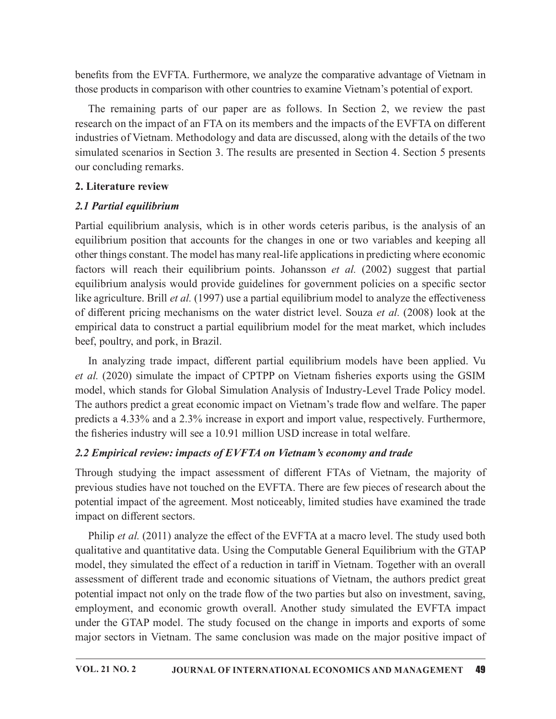benefits from the EVFTA. Furthermore, we analyze the comparative advantage of Vietnam in those products in comparison with other countries to examine Vietnam's potential of export.

The remaining parts of our paper are as follows. In Section 2, we review the past research on the impact of an FTA on its members and the impacts of the EVFTA on different industries of Vietnam. Methodology and data are discussed, along with the details of the two simulated scenarios in Section 3. The results are presented in Section 4. Section 5 presents our concluding remarks.

### 2. Literature review

## 2.1 Partial equilibrium

Partial equilibrium analysis, which is in other words ceteris paribus, is the analysis of an equilibrium position that accounts for the changes in one or two variables and keeping all other things constant. The model has many real-life applications in predicting where economic factors will reach their equilibrium points. Johansson et al. (2002) suggest that partial equilibrium analysis would provide guidelines for government policies on a specific sector like agriculture. Brill *et al.* (1997) use a partial equilibrium model to analyze the effectiveness of different pricing mechanisms on the water district level. Souza *et al.* (2008) look at the empirical data to construct a partial equilibrium model for the meat market, which includes beef, poultry, and pork, in Brazil.

In analyzing trade impact, different partial equilibrium models have been applied. Vu et al.  $(2020)$  simulate the impact of CPTPP on Vietnam fisheries exports using the GSIM model, which stands for Global Simulation Analysis of Industry-Level Trade Policy model. The authors predict a great economic impact on Vietnam's trade flow and welfare. The paper predicts a 4.33% and a 2.3% increase in export and import value, respectively. Furthermore, the fisheries industry will see a 10.91 million USD increase in total welfare.

## 2.2 Empirical review: impacts of EVFTA on Vietnam's economy and trade

Through studying the impact assessment of different FTAs of Vietnam, the majority of previous studies have not touched on the EVFTA. There are few pieces of research about the potential impact of the agreement. Most noticeably, limited studies have examined the trade impact on different sectors.

Philip et al. (2011) analyze the effect of the EVFTA at a macro level. The study used both qualitative and quantitative data. Using the Computable General Equilibrium with the GTAP model, they simulated the effect of a reduction in tariff in Vietnam. Together with an overall assessment of different trade and economic situations of Vietnam, the authors predict great potential impact not only on the trade flow of the two parties but also on investment, saving, employment, and economic growth overall. Another study simulated the EVFTA impact under the GTAP model. The study focused on the change in imports and exports of some major sectors in Vietnam. The same conclusion was made on the major positive impact of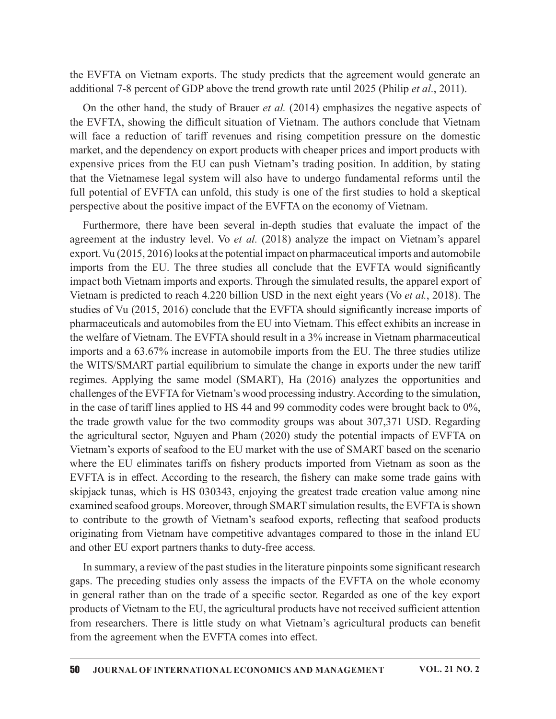the EVFTA on Vietnam exports. The study predicts that the agreement would generate an additional 7-8 percent of GDP above the trend growth rate until 2025 (Philip et al., 2011).

On the other hand, the study of Brauer *et al.* (2014) emphasizes the negative aspects of the EVFTA, showing the difficult situation of Vietnam. The authors conclude that Vietnam will face a reduction of tariff revenues and rising competition pressure on the domestic market, and the dependency on export products with cheaper prices and import products with expensive prices from the EU can push Vietnam's trading position. In addition, by stating that the Vietnamese legal system will also have to undergo fundamental reforms until the full potential of EVFTA can unfold, this study is one of the first studies to hold a skeptical perspective about the positive impact of the EVFTA on the economy of Vietnam.

Furthermore, there have been several in-depth studies that evaluate the impact of the agreement at the industry level. Vo et al. (2018) analyze the impact on Vietnam's apparel export. Vu (2015, 2016) looks at the potential impact on pharmaceutical imports and automobile imports from the EU. The three studies all conclude that the EVFTA would significantly impact both Vietnam imports and exports. Through the simulated results, the apparel export of Vietnam is predicted to reach 4.220 billion USD in the next eight years (Vo et al., 2018). The studies of Vu (2015, 2016) conclude that the EVFTA should significantly increase imports of pharmaceuticals and automobiles from the EU into Vietnam. This effect exhibits an increase in the welfare of Vietnam. The EVFTA should result in a 3% increase in Vietnam pharmaceutical imports and a 63.67% increase in automobile imports from the EU. The three studies utilize the WITS/SMART partial equilibrium to simulate the change in exports under the new tariff regimes. Applying the same model (SMART), Ha (2016) analyzes the opportunities and challenges of the EVFTA for Vietnam's wood processing industry. According to the simulation, in the case of tariff lines applied to HS 44 and 99 commodity codes were brought back to  $0\%$ , the trade growth value for the two commodity groups was about 307,371 USD. Regarding the agricultural sector, Nguyen and Pham (2020) study the potential impacts of EVFTA on Vietnam's exports of seafood to the EU market with the use of SMART based on the scenario agreement at the matsivity level. Vo et al. (2018) analyze the impact on Vietnam s appare<br>export. Vu (2015, 2016) looks at the potential impact on pharmaceutical imports and automobile<br>imports from the EU. The three studie EVFTA is in effect. According to the research, the fishery can make some trade gains with skipjack tunas, which is HS 030343, enjoying the greatest trade creation value among nine examined seafood groups. Moreover, through SMART simulation results, the EVFTA is shown to contribute to the growth of Vietnam's seafood exports, reflecting that seafood products originating from Vietnam have competitive advantages compared to those in the inland EU and other EU export partners thanks to duty-free access.

In summary, a review of the past studies in the literature pinpoints some significant research gaps. The preceding studies only assess the impacts of the EVFTA on the whole economy in general rather than on the trade of a specific sector. Regarded as one of the key export products of Vietnam to the EU, the agricultural products have not received sufficient attention from researchers. There is little study on what Vietnam's agricultural products can benefit from the agreement when the EVFTA comes into effect.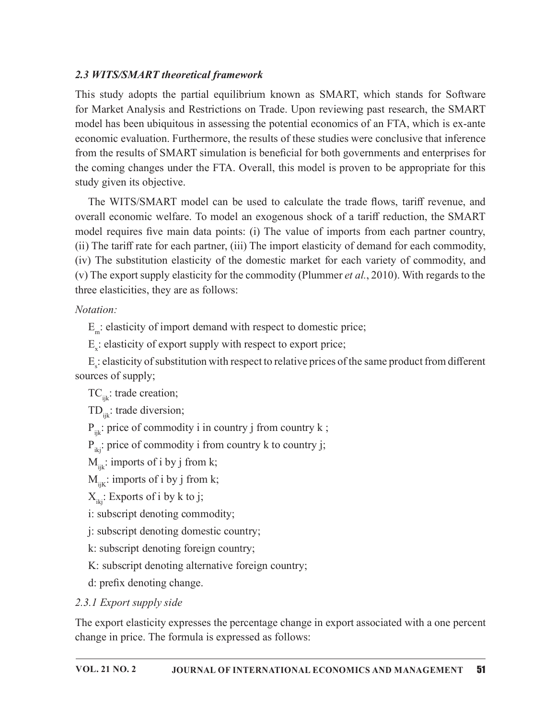### 2.3 WITS/SMART theoretical framework

This study adopts the partial equilibrium known as SMART, which stands for Software for Market Analysis and Restrictions on Trade. Upon reviewing past research, the SMART model has been ubiquitous in assessing the potential economics of an FTA, which is ex-ante economic evaluation. Furthermore, the results of these studies were conclusive that inference from the results of SMART simulation is beneficial for both governments and enterprises for the coming changes under the FTA. Overall, this model is proven to be appropriate for this study given its objective.

The WITS/SMART model can be used to calculate the trade flows, tariff revenue, and overall economic welfare. To model an exogenous shock of a tariff reduction, the SMART model requires five main data points: (i) The value of imports from each partner country, (ii) The tariff rate for each partner, (iii) The import elasticity of demand for each commodity, (iv) The substitution elasticity of the domestic market for each variety of commodity, and (v) The export supply elasticity for the commodity (Plummer *et al.*, 2010). With regards to the three elasticities, they are as follows:

### Notation:

E<sub>m</sub>: elasticity of import demand with respect to domestic price;

 $E_{x}$ : elasticity of export supply with respect to export price;

 $E_{\rm s}$ : elasticity of substitution with respect to relative prices of the same product from different sources of supply;

 $TC_{ijk}$ : trade creation;

 $TD_{\text{in}}$ : trade diversion;

 $P_{ijk}$ : price of commodity i in country j from country k;

 $P_{ik}$ : price of commodity i from country k to country j;

 $M_{ijk}$ : imports of i by j from k;

 $M_{iik}:$  imports of i by j from k;

 $X_{ik}$ : Exports of i by k to j;

i: subscript denoting commodity;

j: subscript denoting domestic country;

k: subscript denoting foreign country;

K: subscript denoting alternative foreign country;

d: prefix denoting change.

# 2.3.1 Export supply side

The export elasticity expresses the percentage change in export associated with a one percent change in price. The formula is expressed as follows: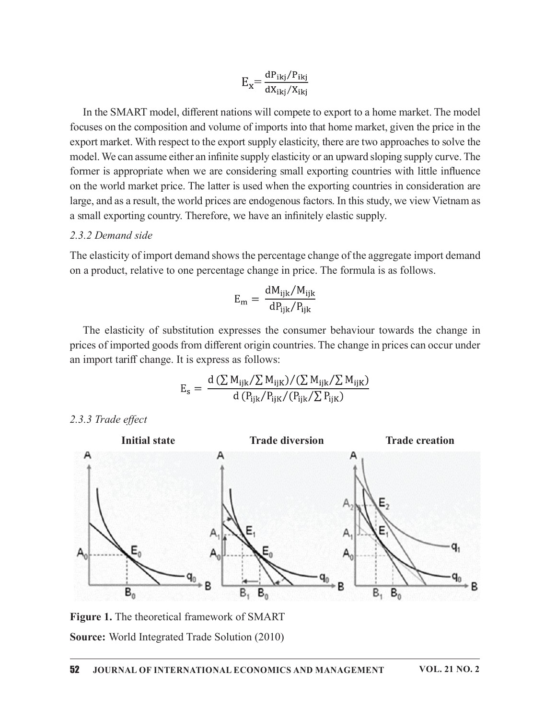$$
E_{\rm x} = \frac{\rm dP_{ikj}/P_{ikj}}{\rm dX_{ikj}/X_{ikj}}
$$

In the SMART model, different nations will compete to export to a home market. The model focuses on the composition and volume of imports into that home market, given the price in the export market. With respect to the export supply elasticity, there are two approaches to solve the model. We can assume either an infinite supply elasticity or an upward sloping supply curve. The former is appropriate when we are considering small exporting countries with little influence on the world market price. The latter is used when the exporting countries in consideration are large, and as a result, the world prices are endogenous factors. In this study, we view Vietnam as a small exporting country. Therefore, we have an infinitely elastic supply.

#### 2.3.2 Demand side

The elasticity of import demand shows the percentage change of the aggregate import demand on a product, relative to one percentage change in price. The formula is as follows.

$$
E_{\rm m} = \frac{dM_{\rm ijk}/M_{\rm ijk}}{dP_{\rm ijk}/P_{\rm ijk}}
$$

The elasticity of substitution expresses the consumer behaviour towards the change in prices of imported goods from different origin countries. The change in prices can occur under an import tariff change. It is express as follows:

$$
E_{\rm s} = \frac{d (\sum M_{\rm ijk}/\sum M_{\rm ijk})/(\sum M_{\rm ijk}/\sum M_{\rm ijk})}{d (P_{\rm ijk}/P_{\rm ijk}/(P_{\rm ijk}/\sum P_{\rm ijk})}
$$

2.3.3 Trade effect



Figure 1. The theoretical framework of SMART Source: World Integrated Trade Solution (2010)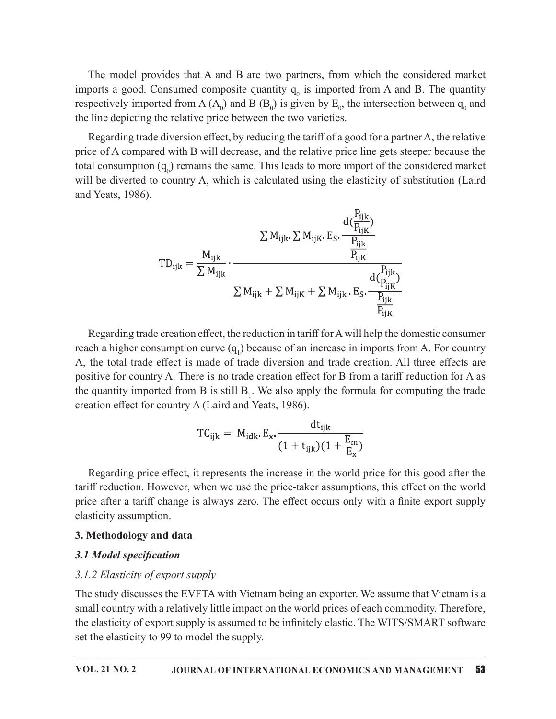The model provides that A and B are two partners, from which the considered market imports a good. Consumed composite quantity  $q_0$  is imported from A and B. The quantity respectively imported from A  $(A_0)$  and B  $(B_0)$  is given by  $E_0$ , the intersection between  $q_0$  and the line depicting the relative price between the two varieties.

Regarding trade diversion effect, by reducing the tariff of a good for a partner A, the relative price of A compared with B will decrease, and the relative price line gets steeper because the total consumption  $(q_0)$  remains the same. This leads to more import of the considered market will be diverted to country A, which is calculated using the elasticity of substitution (Laird and Yeats, 1986).

$$
TD_{ijk} = \frac{M_{ijk}}{\sum M_{ijk}} \cdot \frac{\sum M_{ijk} E_S \cdot \frac{P_{ijk}}{P_{ijk}}}{\sum M_{ijk}} \cdot \frac{P_{ijk}}{\sum M_{ijk} + \sum M_{ijk} + \sum M_{ijk}} \cdot \frac{d(\frac{P_{ijk}}{P_{ijk}})}{P_{ijk}}}{\frac{P_{ijk}}{P_{ijk}}}
$$

Regarding trade creation effect, the reduction in tariff for A will help the domestic consumer reach a higher consumption curve  $(q_1)$  because of an increase in imports from A. For country A, the total trade effect is made of trade diversion and trade creation. All three effects are positive for country A. There is no trade creation effect for B from a tariff reduction for A as the quantity imported from B is still  $B_1$ . We also apply the formula for computing the trade creation effect for country A (Laird and Yeats, 1986).

$$
TC_{ijk} = M_{idk} \cdot E_x \cdot \frac{dt_{ijk}}{(1 + t_{ijk})(1 + \frac{E_m}{E_x})}
$$

Regarding price effect, it represents the increase in the world price for this good after the tariff reduction. However, when we use the price-taker assumptions, this effect on the world price after a tariff change is always zero. The effect occurs only with a finite export supply elasticity assumption.

#### 3. Methodology and data

#### 3.1 Model specification

#### 3.1.2 Elasticity of export supply

The study discusses the EVFTA with Vietnam being an exporter. We assume that Vietnam is a small country with a relatively little impact on the world prices of each commodity. Therefore, the elasticity of export supply is assumed to be infinitely elastic. The WITS/SMART software set the elasticity to 99 to model the supply.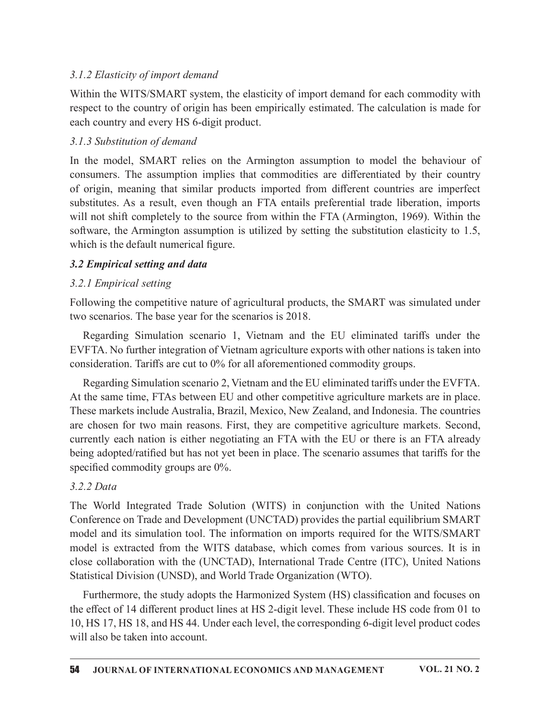## 3.1.2 Elasticity of import demand

Within the WITS/SMART system, the elasticity of import demand for each commodity with respect to the country of origin has been empirically estimated. The calculation is made for each country and every HS 6-digit product.

### 3.1.3 Substitution of demand

In the model, SMART relies on the Armington assumption to model the behaviour of consumers. The assumption implies that commodities are differentiated by their country of origin, meaning that similar products imported from different countries are imperfect substitutes. As a result, even though an FTA entails preferential trade liberation, imports will not shift completely to the source from within the FTA (Armington, 1969). Within the software, the Armington assumption is utilized by setting the substitution elasticity to 1.5, which is the default numerical figure.

### 3.2 Empirical setting and data

### 3.2.1 Empirical setting

Following the competitive nature of agricultural products, the SMART was simulated under two scenarios. The base year for the scenarios is 2018.

Regarding Simulation scenario 1, Vietnam and the EU eliminated tariffs under the EVFTA. No further integration of Vietnam agriculture exports with other nations is taken into consideration. Tariffs are cut to 0% for all aforementioned commodity groups.

Regarding Simulation scenario 2, Vietnam and the EU eliminated tariffs under the EVFTA. At the same time, FTAs between EU and other competitive agriculture markets are in place. These markets include Australia, Brazil, Mexico, New Zealand, and Indonesia. The countries are chosen for two main reasons. First, they are competitive agriculture markets. Second, currently each nation is either negotiating an FTA with the EU or there is an FTA already being adopted/ratified but has not yet been in place. The scenario assumes that tariffs for the specified commodity groups are  $0\%$ .

### 3.2.2 Data

The World Integrated Trade Solution (WITS) in conjunction with the United Nations Conference on Trade and Development (UNCTAD) provides the partial equilibrium SMART model and its simulation tool. The information on imports required for the WITS/SMART model is extracted from the WITS database, which comes from various sources. It is in close collaboration with the (UNCTAD), International Trade Centre (ITC), United Nations Statistical Division (UNSD), and World Trade Organization (WTO).

Furthermore, the study adopts the Harmonized System (HS) classification and focuses on the effect of 14 different product lines at HS 2-digit level. These include HS code from 01 to 10, HS 17, HS 18, and HS 44. Under each level, the corresponding 6-digit level product codes will also be taken into account.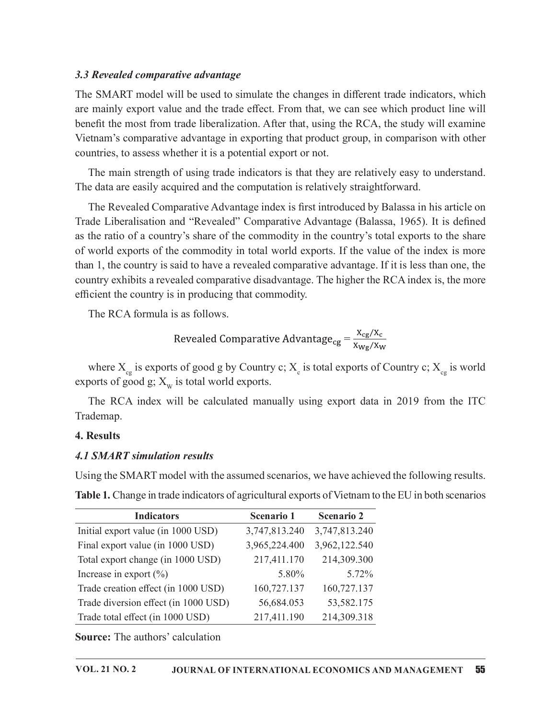#### 3.3 Revealed comparative advantage

The SMART model will be used to simulate the changes in different trade indicators, which are mainly export value and the trade effect. From that, we can see which product line will benefit the most from trade liberalization. After that, using the RCA, the study will examine Vietnam's comparative advantage in exporting that product group, in comparison with other countries, to assess whether it is a potential export or not.

The main strength of using trade indicators is that they are relatively easy to understand. The data are easily acquired and the computation is relatively straightforward.

The Revealed Comparative Advantage index is first introduced by Balassa in his article on Trade Liberalisation and "Revealed" Comparative Advantage (Balassa, 1965). It is defined as the ratio of a country's share of the commodity in the country's total exports to the share of world exports of the commodity in total world exports. If the value of the index is more than 1, the country is said to have a revealed comparative advantage. If it is less than one, the country exhibits a revealed comparative disadvantage. The higher the RCA index is, the more efficient the country is in producing that commodity.

Revealed Comparative Advantage<sub>cg</sub> = 
$$
\frac{X_{cg}/X_c}{X_{wg}/X_W}
$$

#### 4. Results

### 4.1 SMART simulation results

| efficient the country is in producing that commodity.                                                                                                           |                                                                                |                   |  |
|-----------------------------------------------------------------------------------------------------------------------------------------------------------------|--------------------------------------------------------------------------------|-------------------|--|
| The RCA formula is as follows.                                                                                                                                  |                                                                                |                   |  |
|                                                                                                                                                                 | Revealed Comparative Advantage <sub>cg</sub> = $\frac{X_{cg}/X_c}{X_{Wg}/X_W}$ |                   |  |
| where $X_{cg}$ is exports of good g by Country c; $X_{cg}$ is total exports of Country c; $X_{cg}$ is world<br>exports of good g; $X_w$ is total world exports. |                                                                                |                   |  |
| The RCA index will be calculated manually using export data in 2019 from the ITC<br>Trademap.                                                                   |                                                                                |                   |  |
| 4. Results                                                                                                                                                      |                                                                                |                   |  |
| <b>4.1 SMART simulation results</b>                                                                                                                             |                                                                                |                   |  |
| Using the SMART model with the assumed scenarios, we have achieved the following results.                                                                       |                                                                                |                   |  |
| Table 1. Change in trade indicators of agricultural exports of Vietnam to the EU in both scenarios                                                              |                                                                                |                   |  |
| <b>Indicators</b>                                                                                                                                               | Scenario 1                                                                     | <b>Scenario 2</b> |  |
| Initial export value (in 1000 USD)                                                                                                                              | 3,747,813.240                                                                  | 3,747,813.240     |  |
| Final export value (in 1000 USD)                                                                                                                                | 3,965,224.400                                                                  | 3,962,122.540     |  |
| Total export change (in 1000 USD)                                                                                                                               | 217,411.170                                                                    | 214,309.300       |  |
| Increase in export $(\% )$                                                                                                                                      | 5.80%                                                                          | 5.72%             |  |
| Trade creation effect (in 1000 USD)                                                                                                                             | 160,727.137                                                                    | 160,727.137       |  |
| Trade diversion effect (in 1000 USD)                                                                                                                            | 56,684.053                                                                     | 53,582.175        |  |
|                                                                                                                                                                 |                                                                                |                   |  |
| Trade total effect (in 1000 USD)                                                                                                                                | 217,411.190                                                                    | 214,309.318       |  |
| <b>Source:</b> The authors' calculation                                                                                                                         |                                                                                |                   |  |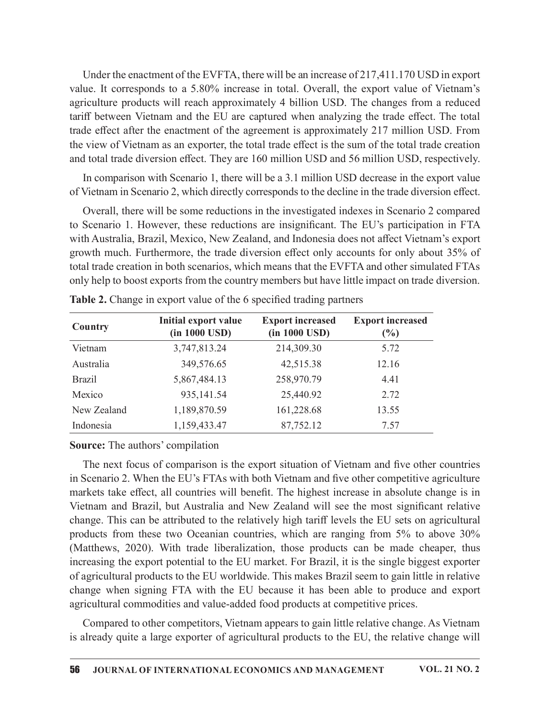Under the enactment of the EVFTA, there will be an increase of 217,411.170 USD in export value. It corresponds to a 5.80% increase in total. Overall, the export value of Vietnam's agriculture products will reach approximately 4 billion USD. The changes from a reduced tariff between Vietnam and the EU are captured when analyzing the trade effect. The total trade effect after the enactment of the agreement is approximately 217 million USD. From the view of Vietnam as an exporter, the total trade effect is the sum of the total trade creation and total trade diversion effect. They are 160 million USD and 56 million USD, respectively.

| In comparison with Scenario 1, there will be a 3.1 million USD decrease in the export value<br>of Vietnam in Scenario 2, which directly corresponds to the decline in the trade diversion effect.<br>Overall, there will be some reductions in the investigated indexes in Scenario 2 compared<br>to Scenario 1. However, these reductions are insignificant. The EU's participation in FTA<br>with Australia, Brazil, Mexico, New Zealand, and Indonesia does not affect Vietnam's export<br>growth much. Furthermore, the trade diversion effect only accounts for only about 35% of<br>total trade creation in both scenarios, which means that the EVFTA and other simulated FTAs<br>only help to boost exports from the country members but have little impact on trade diversion.<br>Table 2. Change in export value of the 6 specified trading partners<br><b>Initial export value</b><br><b>Export increased</b><br><b>Export increased</b><br>Country<br>$(in 1000$ $USD)$<br>$(in 1000 \text{ USD})$<br>$(\%)$<br>Vietnam<br>3,747,813.24<br>214,309.30<br>5.72<br>Australia<br>349,576.65<br>42,515.38<br>12.16<br><b>Brazil</b><br>5,867,484.13<br>258,970.79<br>4.41<br>Mexico<br>935,141.54<br>25,440.92<br>2.72<br>New Zealand<br>1,189,870.59<br>161,228.68<br>13.55<br>Indonesia<br>1,159,433.47<br>87,752.12<br>7.57<br><b>Source:</b> The authors' compilation<br>The next focus of comparison is the export situation of Vietnam and five other countries<br>in Scenario 2. When the EU's FTAs with both Vietnam and five other competitive agriculture | trade effect after the enactment of the agreement is approximately 217 million USD. From<br>the view of Vietnam as an exporter, the total trade effect is the sum of the total trade creation<br>and total trade diversion effect. They are 160 million USD and 56 million USD, respectively. |  |  |
|-----------------------------------------------------------------------------------------------------------------------------------------------------------------------------------------------------------------------------------------------------------------------------------------------------------------------------------------------------------------------------------------------------------------------------------------------------------------------------------------------------------------------------------------------------------------------------------------------------------------------------------------------------------------------------------------------------------------------------------------------------------------------------------------------------------------------------------------------------------------------------------------------------------------------------------------------------------------------------------------------------------------------------------------------------------------------------------------------------------------------------------------------------------------------------------------------------------------------------------------------------------------------------------------------------------------------------------------------------------------------------------------------------------------------------------------------------------------------------------------------------------------------------------------------------------------------------|-----------------------------------------------------------------------------------------------------------------------------------------------------------------------------------------------------------------------------------------------------------------------------------------------|--|--|
|                                                                                                                                                                                                                                                                                                                                                                                                                                                                                                                                                                                                                                                                                                                                                                                                                                                                                                                                                                                                                                                                                                                                                                                                                                                                                                                                                                                                                                                                                                                                                                             |                                                                                                                                                                                                                                                                                               |  |  |
|                                                                                                                                                                                                                                                                                                                                                                                                                                                                                                                                                                                                                                                                                                                                                                                                                                                                                                                                                                                                                                                                                                                                                                                                                                                                                                                                                                                                                                                                                                                                                                             |                                                                                                                                                                                                                                                                                               |  |  |
|                                                                                                                                                                                                                                                                                                                                                                                                                                                                                                                                                                                                                                                                                                                                                                                                                                                                                                                                                                                                                                                                                                                                                                                                                                                                                                                                                                                                                                                                                                                                                                             |                                                                                                                                                                                                                                                                                               |  |  |
|                                                                                                                                                                                                                                                                                                                                                                                                                                                                                                                                                                                                                                                                                                                                                                                                                                                                                                                                                                                                                                                                                                                                                                                                                                                                                                                                                                                                                                                                                                                                                                             |                                                                                                                                                                                                                                                                                               |  |  |
|                                                                                                                                                                                                                                                                                                                                                                                                                                                                                                                                                                                                                                                                                                                                                                                                                                                                                                                                                                                                                                                                                                                                                                                                                                                                                                                                                                                                                                                                                                                                                                             |                                                                                                                                                                                                                                                                                               |  |  |
|                                                                                                                                                                                                                                                                                                                                                                                                                                                                                                                                                                                                                                                                                                                                                                                                                                                                                                                                                                                                                                                                                                                                                                                                                                                                                                                                                                                                                                                                                                                                                                             |                                                                                                                                                                                                                                                                                               |  |  |
|                                                                                                                                                                                                                                                                                                                                                                                                                                                                                                                                                                                                                                                                                                                                                                                                                                                                                                                                                                                                                                                                                                                                                                                                                                                                                                                                                                                                                                                                                                                                                                             |                                                                                                                                                                                                                                                                                               |  |  |
|                                                                                                                                                                                                                                                                                                                                                                                                                                                                                                                                                                                                                                                                                                                                                                                                                                                                                                                                                                                                                                                                                                                                                                                                                                                                                                                                                                                                                                                                                                                                                                             |                                                                                                                                                                                                                                                                                               |  |  |
|                                                                                                                                                                                                                                                                                                                                                                                                                                                                                                                                                                                                                                                                                                                                                                                                                                                                                                                                                                                                                                                                                                                                                                                                                                                                                                                                                                                                                                                                                                                                                                             |                                                                                                                                                                                                                                                                                               |  |  |
|                                                                                                                                                                                                                                                                                                                                                                                                                                                                                                                                                                                                                                                                                                                                                                                                                                                                                                                                                                                                                                                                                                                                                                                                                                                                                                                                                                                                                                                                                                                                                                             |                                                                                                                                                                                                                                                                                               |  |  |
|                                                                                                                                                                                                                                                                                                                                                                                                                                                                                                                                                                                                                                                                                                                                                                                                                                                                                                                                                                                                                                                                                                                                                                                                                                                                                                                                                                                                                                                                                                                                                                             |                                                                                                                                                                                                                                                                                               |  |  |
|                                                                                                                                                                                                                                                                                                                                                                                                                                                                                                                                                                                                                                                                                                                                                                                                                                                                                                                                                                                                                                                                                                                                                                                                                                                                                                                                                                                                                                                                                                                                                                             |                                                                                                                                                                                                                                                                                               |  |  |
| markets take effect, all countries will benefit. The highest increase in absolute change is in                                                                                                                                                                                                                                                                                                                                                                                                                                                                                                                                                                                                                                                                                                                                                                                                                                                                                                                                                                                                                                                                                                                                                                                                                                                                                                                                                                                                                                                                              |                                                                                                                                                                                                                                                                                               |  |  |

#### Source: The authors' compilation

The next focus of comparison is the export situation of Vietnam and five other countries in Scenario 2. When the EU's FTAs with both Vietnam and five other competitive agriculture markets take effect, all countries will benefit. The highest increase in absolute change is in Vietnam and Brazil, but Australia and New Zealand will see the most significant relative change. This can be attributed to the relatively high tariff levels the EU sets on agricultural products from these two Oceanian countries, which are ranging from 5% to above 30% (Matthews, 2020). With trade liberalization, those products can be made cheaper, thus increasing the export potential to the EU market. For Brazil, it is the single biggest exporter of agricultural products to the EU worldwide. This makes Brazil seem to gain little in relative change when signing FTA with the EU because it has been able to produce and export agricultural commodities and value-added food products at competitive prices.

Compared to other competitors, Vietnam appears to gain little relative change. As Vietnam is already quite a large exporter of agricultural products to the EU, the relative change will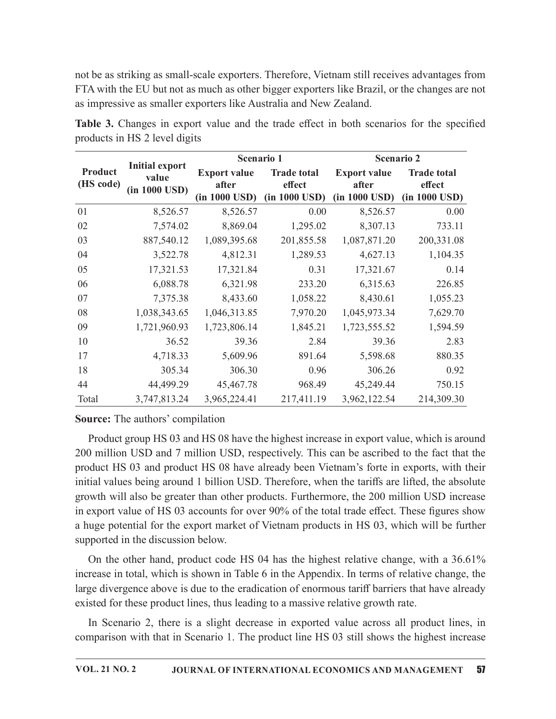|             | as impressive as smaller exporters like Australia and New Zealand. |                                   |                         |                           |                                                                                                |
|-------------|--------------------------------------------------------------------|-----------------------------------|-------------------------|---------------------------|------------------------------------------------------------------------------------------------|
|             |                                                                    |                                   |                         |                           |                                                                                                |
|             |                                                                    |                                   |                         |                           |                                                                                                |
|             |                                                                    |                                   |                         |                           | not be as striking as small-scale exporters. Therefore, Vietnam still receives advantages from |
|             |                                                                    |                                   |                         |                           | FTA with the EU but not as much as other bigger exporters like Brazil, or the changes are not  |
|             |                                                                    |                                   |                         |                           |                                                                                                |
|             |                                                                    |                                   |                         |                           | Table 3. Changes in export value and the trade effect in both scenarios for the specified      |
|             | products in HS 2 level digits                                      |                                   |                         |                           |                                                                                                |
|             |                                                                    |                                   | Scenario 2              |                           |                                                                                                |
| Product     | <b>Initial export</b>                                              | Scenario 1<br><b>Export value</b> | <b>Trade total</b>      | <b>Export value</b>       | <b>Trade total</b>                                                                             |
| (HS code)   | value                                                              | after                             | effect                  | after                     | effect                                                                                         |
|             | (in 1000 USD)                                                      | $(in 1000$ USD)                   | $(in 1000 \text{ USD})$ | $(in 1000 \text{ USD})$   | $(in 1000 \text{ USD})$                                                                        |
| 01          | 8,526.57                                                           | 8,526.57                          | 0.00                    | 8,526.57                  | 0.00                                                                                           |
| 02          | 7,574.02                                                           | 8,869.04                          | 1,295.02                | 8,307.13                  | 733.11                                                                                         |
| 03          | 887,540.12                                                         | 1,089,395.68                      | 201,855.58              | 1,087,871.20              | 200,331.08                                                                                     |
| 04          | 3,522.78                                                           | 4,812.31                          | 1,289.53                | 4,627.13                  | 1,104.35                                                                                       |
| 05          | 17,321.53                                                          | 17,321.84                         | 0.31                    | 17,321.67                 | 0.14                                                                                           |
| 06          | 6,088.78                                                           | 6,321.98                          | 233.20                  | 6,315.63                  | 226.85                                                                                         |
| 07          | 7,375.38                                                           | 8,433.60                          | 1,058.22                | 8,430.61                  | 1,055.23                                                                                       |
| 08          | 1,038,343.65                                                       | 1,046,313.85                      | 7,970.20                | 1,045,973.34              | 7,629.70                                                                                       |
| 09          | 1,721,960.93                                                       | 1,723,806.14                      | 1,845.21                | 1,723,555.52              | 1,594.59                                                                                       |
|             | 36.52                                                              | 39.36                             | 2.84                    | 39.36                     | 2.83                                                                                           |
|             | 4,718.33                                                           | 5,609.96                          | 891.64                  | 5,598.68                  | 880.35                                                                                         |
| 10          |                                                                    | 306.30                            | 0.96                    | 306.26                    | 0.92                                                                                           |
| 17          |                                                                    |                                   |                         |                           |                                                                                                |
| 18          | 305.34                                                             |                                   |                         |                           |                                                                                                |
| 44<br>Total | 44,499.29<br>3,747,813.24                                          | 45,467.78<br>3,965,224.41         | 968.49<br>217,411.19    | 45,249.44<br>3,962,122.54 | 750.15<br>214,309.30                                                                           |

Table 3. Changes in export value and the trade effect in both scenarios for the specified products in HS 2 level digits

### Source: The authors' compilation

Product group HS 03 and HS 08 have the highest increase in export value, which is around 200 million USD and 7 million USD, respectively. This can be ascribed to the fact that the product HS 03 and product HS 08 have already been Vietnam's forte in exports, with their initial values being around 1 billion USD. Therefore, when the tariffs are lifted, the absolute growth will also be greater than other products. Furthermore, the 200 million USD increase in export value of HS 03 accounts for over 90% of the total trade effect. These figures show a huge potential for the export market of Vietnam products in HS 03, which will be further supported in the discussion below.

On the other hand, product code HS 04 has the highest relative change, with a 36.61% increase in total, which is shown in Table 6 in the Appendix. In terms of relative change, the large divergence above is due to the eradication of enormous tariff barriers that have already existed for these product lines, thus leading to a massive relative growth rate.

In Scenario 2, there is a slight decrease in exported value across all product lines, in comparison with that in Scenario 1. The product line HS 03 still shows the highest increase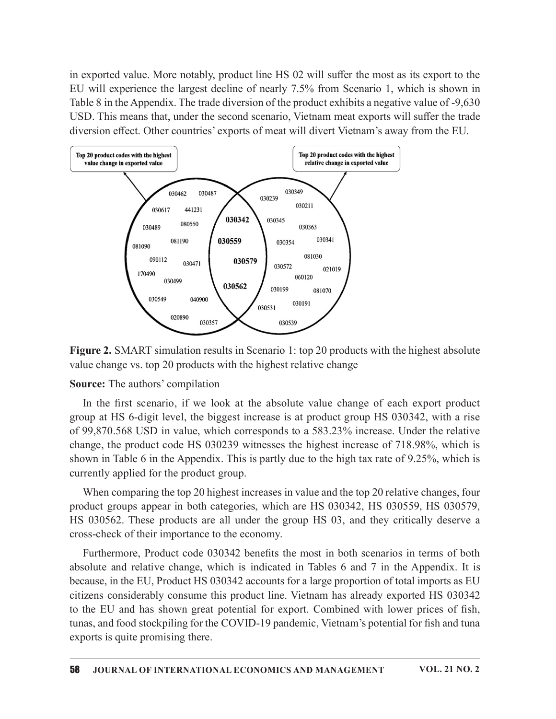in exported value. More notably, product line HS 02 will suffer the most as its export to the EU will experience the largest decline of nearly 7.5% from Scenario 1, which is shown in Table 8 in the Appendix. The trade diversion of the product exhibits a negative value of -9,630 USD. This means that, under the second scenario, Vietnam meat exports will suffer the trade diversion effect. Other countries' exports of meat will divert Vietnam's away from the EU.



Figure 2. SMART simulation results in Scenario 1: top 20 products with the highest absolute value change vs. top 20 products with the highest relative change

#### Source: The authors' compilation

group at HS 6-digit level, the biggest increase is at product group HS 030342, with a rise of 99,870.568 USD in value, which corresponds to a 583.23% increase. Under the relative change, the product code HS 030239 witnesses the highest increase of 718.98%, which is shown in Table 6 in the Appendix. This is partly due to the high tax rate of  $9.25\%$ , which is currently applied for the product group.

When comparing the top 20 highest increases in value and the top 20 relative changes, four product groups appear in both categories, which are HS 030342, HS 030559, HS 030579, HS 030562. These products are all under the group HS 03, and they critically deserve a cross-check of their importance to the economy.

Furthermore, Product code 030342 benefits the most in both scenarios in terms of both absolute and relative change, which is indicated in Tables 6 and 7 in the Appendix. It is because, in the EU, Product HS 030342 accounts for a large proportion of total imports as EU citizens considerably consume this product line. Vietnam has already exported HS 030342 **EVALUATE:** The authors compliated to the disolute value change of each export product<br>group at HS 6-digit level, the biggest increase is at product group HS 030342, with a rise<br>of 99,870.568 USD in value, which correspond tunas, and food stockpiling for the COVID-19 pandemic, Vietnam's potential for fish and tuna exports is quite promising there.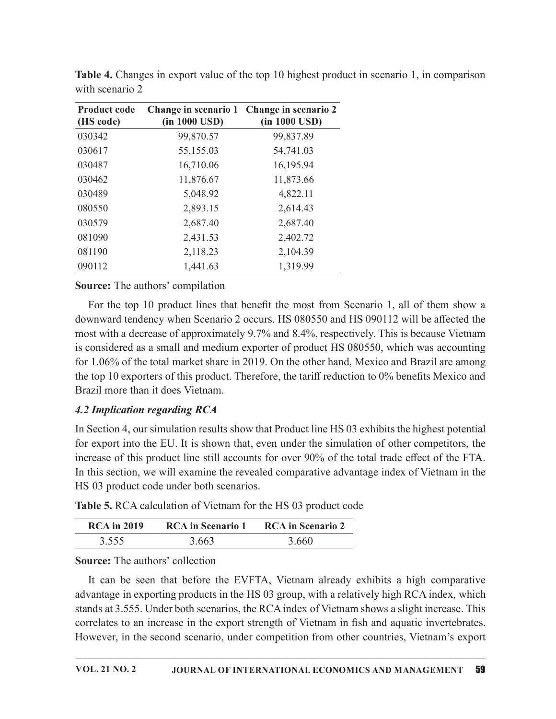| with scenario 2                                                                                                                                                                  |                                                                                                                                                                |
|----------------------------------------------------------------------------------------------------------------------------------------------------------------------------------|----------------------------------------------------------------------------------------------------------------------------------------------------------------|
|                                                                                                                                                                                  | Change in scenario 2                                                                                                                                           |
| (in 1000 USD)                                                                                                                                                                    | (in 1000 USD)                                                                                                                                                  |
| 99,870.57                                                                                                                                                                        | 99,837.89                                                                                                                                                      |
| 55,155.03                                                                                                                                                                        | 54,741.03                                                                                                                                                      |
| 16,710.06                                                                                                                                                                        | 16,195.94                                                                                                                                                      |
| 11,876.67                                                                                                                                                                        | 11,873.66                                                                                                                                                      |
| 5,048.92                                                                                                                                                                         | 4,822.11                                                                                                                                                       |
| 2,893.15                                                                                                                                                                         | 2,614.43                                                                                                                                                       |
| 2,687.40                                                                                                                                                                         | 2,687.40                                                                                                                                                       |
| 2,431.53                                                                                                                                                                         | 2,402.72                                                                                                                                                       |
| 2,118.23                                                                                                                                                                         | 2,104.39                                                                                                                                                       |
| 1,441.63                                                                                                                                                                         | 1,319.99                                                                                                                                                       |
|                                                                                                                                                                                  |                                                                                                                                                                |
|                                                                                                                                                                                  |                                                                                                                                                                |
|                                                                                                                                                                                  |                                                                                                                                                                |
| For the top 10 product lines that benefit the most from Scenario 1, all of them show a<br>downward tendency when Scenario 2 occurs. HS 080550 and HS 090112 will be affected the |                                                                                                                                                                |
|                                                                                                                                                                                  | Table 4. Changes in export value of the top 10 highest product in scenario 1, in comparison<br>Change in scenario 1<br><b>Source:</b> The authors' compilation |

Table 4. Changes in export value of the top 10 highest product in scenario 1, in comparison with scenario 2

### Source: The authors' compilation

For the top 10 product lines that benefit the most from Scenario 1, all of them show a downward tendency when Scenario 2 occurs. HS 080550 and HS 090112 will be affected the most with a decrease of approximately 9.7% and 8.4%, respectively. Thisis because Vietnam is considered as a small and medium exporter of product HS 080550, which was accounting for 1.06% of the total market share in 2019. On the other hand, Mexico and Brazil are among the top 10 exporters of this product. Therefore, the tariff reduction to  $0\%$  benefits Mexico and Brazil more than it does Vietnam. For the top 10 product lines that henchet the most from Scenario 1, all of them show a<br>synward tendency when Scenario 2 occurs. HS 080550 and HS 090112 will be affected the<br>synward redency when Scenario 2 occurs. HS 08055 ward tendency when Scenario 2 occurs. HS 080550 and HS 090112 will be affected the<br>with a decrease of approximately 9.7% and 8.4%, respectively. This is because Vietnam<br>sisdered as a small and medium exporter of product H

### 4.2 Implication regarding RCA

In Section 4, our simulation results show that Product line HS 03 exhibits the highest potential for export into the EU. It is shown that, even under the simulation of other competitors, the increase of this product line still accounts for over 90% of the total trade effect of the FTA. In this section, we will examine the revealed comparative advantage index of Vietnam in the HS 03 product code under both scenarios.

Table 5. RCA calculation of Vietnam for the HS 03 product code

| <b>RCA</b> in 2019 | <b>RCA</b> in Scenario 1 | <b>RCA</b> in Scenario 2 |
|--------------------|--------------------------|--------------------------|
| 3.555              | 3.663                    | 3.660                    |

Source: The authors' collection

It can be seen that before the EVFTA, Vietnam already exhibits a high comparative advantage in exporting products in the HS 03 group, with a relatively high RCA index, which stands at 3.555.Under both scenarios, the RCAindex of Vietnam shows a slight increase. This correlates to an increase in the export strength of Vietnam in fish and aquatic invertebrates. However, in the second scenario, under competition from other countries, Vietnam's export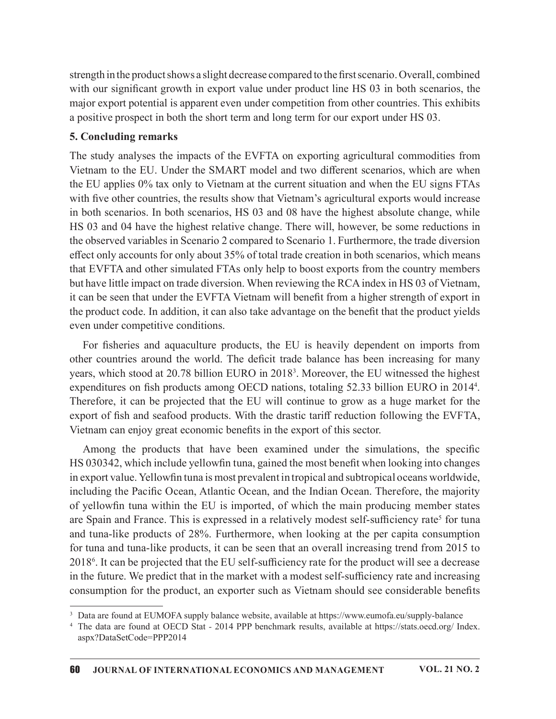strength in the product shows a slight decrease compared to the first scenario. Overall, combined with our significant growth in export value under product line HS 03 in both scenarios, the major export potential is apparent even under competition from other countries. This exhibits a positive prospect in both the short term and long term for our export under HS 03.

### 5. Concluding remarks

The study analyses the impacts of the EVFTA on exporting agricultural commodities from Vietnam to the EU. Under the SMART model and two different scenarios, which are when the EU applies 0% tax only to Vietnam at the current situation and when the EU signs FTAs with five other countries, the results show that Vietnam's agricultural exports would increase in both scenarios. In both scenarios, HS 03 and 08 have the highest absolute change, while HS 03 and 04 have the highest relative change. There will, however, be some reductions in the observed variables in Scenario 2 compared to Scenario 1. Furthermore, the trade diversion effect only accounts for only about 35% of total trade creation in both scenarios, which means that EVFTA and other simulated FTAs only help to boost exports from the country members but have little impact on trade diversion. When reviewing the RCA index in HS 03 of Vietnam, it can be seen that under the EVFTA Vietnam will benefit from a higher strength of export in the product code. In addition, it can also take advantage on the benefit that the product yields even under competitive conditions. Conducting remarks<br>
Conducting remarks<br>
Conducting remarks enter them and long derm and calc papera that at 10.97.<br>
Conducting ered and two different scenarios, which are when<br>
EU applies 0% tax only to Victnam at the cur

other countries around the world. The deficit trade balance has been increasing for many years, which stood at 20.78 billion EURO in 20183 . Moreover, the EU witnessed the highest expenditures on fish products among OECD nations, totaling 52.33 billion EURO in 2014<sup>4</sup>. . Therefore, it can be projected that the EU will continue to grow as a huge market for the export of fish and seafood products. With the drastic tariff reduction following the EVFTA, Vietnam can enjoy great economic benefits in the export of this sector.

Among the products that have been examined under the simulations, the specific HS 030342, which include yellowfin tuna, gained the most benefit when looking into changes in export value. Yellowfin tuna is most prevalent in tropical and subtropical oceans worldwide, including the Pacific Ocean, Atlantic Ocean, and the Indian Ocean. Therefore, the majority of yellowfin tuna within the EU is imported, of which the main producing member states are Spain and France. This is expressed in a relatively modest self-sufficiency rate<sup>5</sup> for tuna and tuna-like products of 28%. Furthermore, when looking at the per capita consumption for tuna and tuna-like products, it can be seen that an overall increasing trend from 2015 to  $2018<sup>6</sup>$ . It can be projected that the EU self-sufficiency rate for the product will see a decrease in the future. We predict that in the market with a modest self-sufficiency rate and increasing consumption for the product, an exporter such as Vietnam should see considerable benefits

<sup>3</sup> Data are found at EUMOFA supply balance website, available at https://www.eumofa.eu/supply-balance

<sup>4</sup> The data are found at OECD Stat - 2014 PPP benchmark results, available at https://stats.oecd.org/ Index. aspx?DataSetCode=PPP2014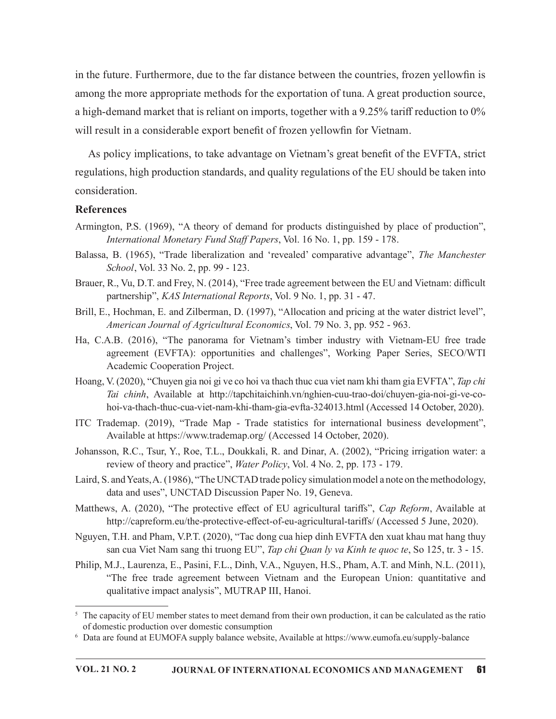in the future. Furthermore, due to the far distance between the countries, frozen yellowfin is among the more appropriate methods for the exportation of tuna. A great production source, a high-demand market that is reliant on imports, together with a  $9.25\%$  tariff reduction to  $0\%$ will result in a considerable export benefit of frozen yellowfin for Vietnam.

As policy implications, to take advantage on Vietnam's great benefit of the EVFTA, strict regulations, high production standards, and quality regulations of the EU should be taken into consideration.

#### References

- Armington, P.S. (1969), "A theory of demand for products distinguished by place of production", International Monetary Fund Staff Papers, Vol. 16 No. 1, pp. 159 - 178.
- Balassa, B. (1965), "Trade liberalization and 'revealed' comparative advantage", The Manchester School, Vol. 33 No. 2, pp. 99 - 123.
- Brauer, R., Vu, D.T. and Frey, N. (2014), "Free trade agreement between the EU and Vietnam: difficult partnership", KAS International Reports, Vol. 9 No. 1, pp. 31 - 47.
- Brill, E., Hochman, E. and Zilberman, D. (1997), "Allocation and pricing at the water district level", American Journal of Agricultural Economics, Vol. 79 No. 3, pp. 952 - 963.
- Ha, C.A.B. (2016), "The panorama for Vietnam's timber industry with Vietnam-EU free trade agreement (EVFTA): opportunities and challenges", Working Paper Series, SECO/WTI Academic Cooperation Project.
- Hoang, V. (2020), "Chuyen gia noi gi ve co hoi va thach thuc cua viet nam khi tham gia EVFTA", Tap chi Tai chinh, Available at http://tapchitaichinh.vn/nghien-cuu-trao-doi/chuyen-gia-noi-gi-ve-cohoi-va-thach-thuc-cua-viet-nam-khi-tham-gia-evfta-324013.html (Accessed 14 October, 2020).
- ITC Trademap. (2019), "Trade Map Trade statistics for international business development", Available at https://www.trademap.org/ (Accessed 14 October, 2020).
- Johansson, R.C., Tsur, Y., Roe, T.L., Doukkali, R. and Dinar, A. (2002), "Pricing irrigation water: a review of theory and practice", Water Policy, Vol. 4 No. 2, pp. 173 - 179.
- Laird, S. and Yeats, A. (1986), "The UNCTAD trade policy simulation model a note on the methodology, data and uses", UNCTAD Discussion Paper No. 19, Geneva.
- Matthews, A. (2020), "The protective effect of EU agricultural tariffs", Cap Reform, Available at http://capreform.eu/the-protective-effect-of-eu-agricultural-tariffs/ (Accessed 5 June, 2020).
- Nguyen, T.H. and Pham, V.P.T. (2020), "Tac dong cuahiep dinh EVFTA den xuat khau mat hang thuy san cua Viet Nam sang thi truong EU", Tap chi Quan ly va Kinh te quoc te, So 125, tr. 3 - 15.
- Philip, M.J., Laurenza, E., Pasini, F.L., Dinh, V.A., Nguyen, H.S., Pham, A.T. and Minh, N.L. (2011), "The free trade agreement between Vietnam and the European Union: quantitative and qualitative impact analysis", MUTRAP III, Hanoi.

<sup>&</sup>lt;sup>5</sup> The capacity of EU member states to meet demand from their own production, it can be calculated as the ratio of domestic production over domestic consumption

<sup>6</sup> Data are found at EUMOFA supply balance website, Available at https://www.eumofa.eu/supply-balance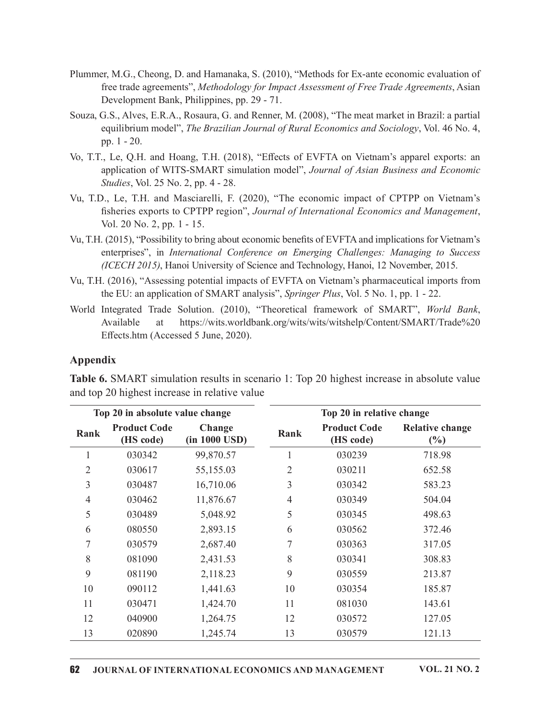- Plummer, M.G., Cheong, D. and Hamanaka, S. (2010), "Methods for Ex-ante economic evaluation of free trade agreements", Methodology for Impact Assessment of Free Trade Agreements, Asian Development Bank, Philippines, pp. 29 - 71.
- Souza, G.S., Alves, E.R.A., Rosaura, G. and Renner, M. (2008), "The meat market in Brazil: a partial equilibrium model", The Brazilian Journal of Rural Economics and Sociology, Vol. 46 No. 4, pp. 1 - 20.
- Vo, T.T., Le, Q.H. and Hoang, T.H. (2018), "Effects of EVFTA on Vietnam's apparel exports: an application of WITS-SMART simulation model", Journal of Asian Business and Economic Studies, Vol. 25 No. 2, pp. 4 - 28.
- Vu, T.D., Le, T.H. and Masciarelli, F. (2020), "The economic impact of CPTPP on Vietnam's fisheries exports to CPTPP region", Journal of International Economics and Management, Vol. 20 No. 2, pp. 1 - 15.
- Vu, T.H. (2015), "Possibility to bring about economic benefits of EVFTA and implications for Vietnam's enterprises", in International Conference on Emerging Challenges: Managing to Success (ICECH 2015), Hanoi University of Science and Technology, Hanoi, 12 November, 2015.
- Vu, T.H. (2016), "Assessing potential impacts of EVFTA on Vietnam's pharmaceutical imports from the EU: an application of SMART analysis", Springer Plus, Vol. 5 No. 1, pp. 1 - 22.
- World Integrated Trade Solution. (2010), "Theoretical framework of SMART", World Bank, Available at https://wits.worldbank.org/wits/wits/witshelp/Content/SMART/Trade%20 Effects.htm (Accessed 5 June, 2020).

#### Appendix

|          | Vol. 20 No. 2, pp. 1 - 15.                              |                                                                                     |      |                                  | Vu, T.D., Le, T.H. and Masciarelli, F. (2020), "The economic impact of CPTPP on Vietnam's<br>fisheries exports to CPTPP region", Journal of International Economics and Management,             |
|----------|---------------------------------------------------------|-------------------------------------------------------------------------------------|------|----------------------------------|-------------------------------------------------------------------------------------------------------------------------------------------------------------------------------------------------|
|          |                                                         | (ICECH 2015), Hanoi University of Science and Technology, Hanoi, 12 November, 2015. |      |                                  | Vu, T.H. (2015), "Possibility to bring about economic benefits of EVFTA and implications for Vietnam's<br>enterprises", in International Conference on Emerging Challenges: Managing to Success |
|          |                                                         | the EU: an application of SMART analysis", Springer Plus, Vol. 5 No. 1, pp. 1 - 22. |      |                                  | Vu, T.H. (2016), "Assessing potential impacts of EVFTA on Vietnam's pharmaceutical imports from                                                                                                 |
|          | Available<br>at<br>Effects.htm (Accessed 5 June, 2020). |                                                                                     |      |                                  | World Integrated Trade Solution. (2010), "Theoretical framework of SMART", World Bank,<br>https://wits.worldbank.org/wits/wits/witshelp/Content/SMART/Trade%20                                  |
| Appendix |                                                         |                                                                                     |      |                                  |                                                                                                                                                                                                 |
|          |                                                         | and top 20 highest increase in relative value                                       |      |                                  | Table 6. SMART simulation results in scenario 1: Top 20 highest increase in absolute value                                                                                                      |
|          | Top 20 in absolute value change                         |                                                                                     |      | Top 20 in relative change        |                                                                                                                                                                                                 |
| Rank     | <b>Product Code</b><br>(HS code)                        | Change<br>$(in 1000 \text{ USD})$                                                   | Rank | <b>Product Code</b><br>(HS code) | <b>Relative change</b><br>$(\%)$                                                                                                                                                                |
| 1        | 030342                                                  | 99,870.57                                                                           |      | 030239                           | 718.98                                                                                                                                                                                          |
| 2        | 030617                                                  | 55,155.03                                                                           | 2    | 030211                           | 652.58                                                                                                                                                                                          |
| 3        | 030487                                                  | 16,710.06                                                                           | 3    | 030342                           | 583.23                                                                                                                                                                                          |
| 4        | 030462                                                  | 11,876.67                                                                           | 4    | 030349                           | 504.04                                                                                                                                                                                          |
|          | 030489                                                  | 5,048.92                                                                            | 5    | 030345                           | 498.63                                                                                                                                                                                          |
| 5        |                                                         |                                                                                     |      |                                  |                                                                                                                                                                                                 |
| 6        | 080550                                                  | 2,893.15                                                                            | 6    | 030562                           | 372.46                                                                                                                                                                                          |
|          | 030579                                                  | 2,687.40                                                                            |      | 030363                           | 317.05                                                                                                                                                                                          |
| 8        | 081090                                                  | 2,431.53                                                                            | 8    | 030341                           | 308.83                                                                                                                                                                                          |
| 9        | 081190                                                  | 2,118.23                                                                            | 9    | 030559                           | 213.87                                                                                                                                                                                          |
| 10       | 090112                                                  | 1,441.63                                                                            | 10   | 030354                           | 185.87                                                                                                                                                                                          |
| 11       | 030471                                                  | 1,424.70                                                                            | 11   | 081030                           | 143.61                                                                                                                                                                                          |
| 12       | 040900                                                  | 1,264.75                                                                            | 12   | 030572                           | 127.05                                                                                                                                                                                          |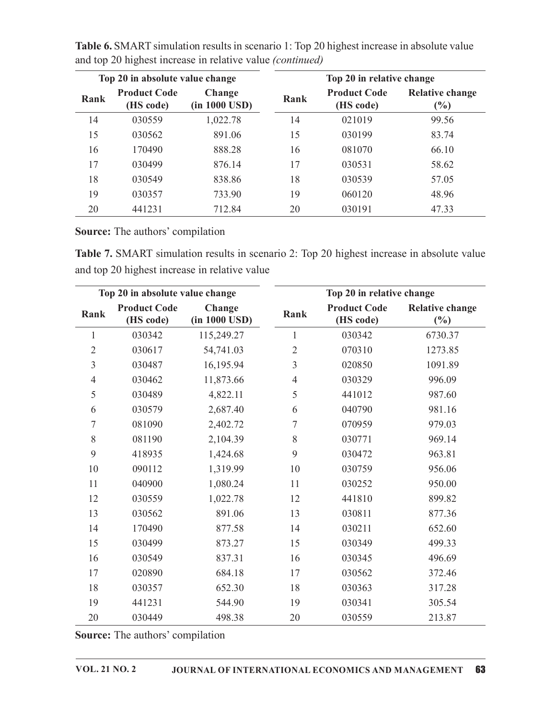|                |                                         | Table 6. SMART simulation results in scenario 1: Top 20 highest increase in absolute value |                |                                  |                                                                                            |
|----------------|-----------------------------------------|--------------------------------------------------------------------------------------------|----------------|----------------------------------|--------------------------------------------------------------------------------------------|
|                |                                         | and top 20 highest increase in relative value (continued)                                  |                |                                  |                                                                                            |
|                | Top 20 in absolute value change         |                                                                                            |                | Top 20 in relative change        |                                                                                            |
| Rank           | <b>Product Code</b><br>(HS code)        | Change<br>(in 1000 USD)                                                                    | Rank           | <b>Product Code</b><br>(HS code) | <b>Relative change</b><br>(%)                                                              |
| 14             | 030559                                  | 1,022.78                                                                                   | 14             | 021019                           | 99.56                                                                                      |
| 15             | 030562                                  | 891.06                                                                                     | 15             | 030199                           | 83.74                                                                                      |
| 16             | 170490                                  | 888.28                                                                                     | 16             | 081070                           | 66.10                                                                                      |
| 17             | 030499                                  | 876.14                                                                                     | 17             | 030531                           | 58.62                                                                                      |
| 18             | 030549                                  | 838.86                                                                                     | 18             | 030539                           | 57.05                                                                                      |
| 19             | 030357                                  | 733.90                                                                                     | 19             | 060120                           | 48.96                                                                                      |
| 20             | 441231                                  | 712.84                                                                                     | 20             | 030191                           | 47.33                                                                                      |
|                | <b>Source:</b> The authors' compilation |                                                                                            |                |                                  |                                                                                            |
|                |                                         |                                                                                            |                |                                  | Table 7. SMART simulation results in scenario 2: Top 20 highest increase in absolute value |
|                |                                         | and top 20 highest increase in relative value                                              |                |                                  |                                                                                            |
|                | Top 20 in absolute value change         |                                                                                            |                | Top 20 in relative change        |                                                                                            |
| Rank           | <b>Product Code</b><br>(HS code)        | Change<br>(in 1000 USD)                                                                    | Rank           | <b>Product Code</b><br>(HS code) | <b>Relative change</b><br>$(\%)$                                                           |
| 1              | 030342                                  | 115,249.27                                                                                 |                | 030342                           | 6730.37                                                                                    |
|                | 030617                                  | 54,741.03                                                                                  | $\overline{2}$ | 070310                           | 1273.85                                                                                    |
| $\overline{2}$ |                                         |                                                                                            |                |                                  |                                                                                            |

Table 6. SMART simulation results in scenario 1: Top 20 highest increase in absolute value and top 20 highest increase in relative value (continued)

| 14             | 030559                           | 1,022.78                                      | 14   | 021019                           | 99.56                                                                                      |
|----------------|----------------------------------|-----------------------------------------------|------|----------------------------------|--------------------------------------------------------------------------------------------|
| 15             | 030562                           | 891.06                                        | 15   | 030199                           | 83.74                                                                                      |
| 16             | 170490                           | 888.28                                        | 16   | 081070                           | 66.10                                                                                      |
| 17             | 030499                           | 876.14                                        | 17   | 030531                           | 58.62                                                                                      |
| 18             | 030549                           | 838.86                                        | 18   | 030539                           | 57.05                                                                                      |
| 19             | 030357                           | 733.90                                        | 19   | 060120                           | 48.96                                                                                      |
| 20             | 441231                           | 712.84                                        | 20   | 030191                           | 47.33                                                                                      |
|                | Source: The authors' compilation | and top 20 highest increase in relative value |      |                                  | Table 7. SMART simulation results in scenario 2: Top 20 highest increase in absolute value |
|                | Top 20 in absolute value change  |                                               |      | Top 20 in relative change        |                                                                                            |
| Rank           | <b>Product Code</b><br>(HS code) | Change<br>(in 1000 USD)                       | Rank | <b>Product Code</b><br>(HS code) | <b>Relative change</b><br>(%)                                                              |
|                | 030342                           | 115,249.27                                    |      | 030342                           | 6730.37                                                                                    |
| $\overline{2}$ | 030617                           | 54,741.03                                     | 2    | 070310                           | 1273.85                                                                                    |
| 3              | 030487                           | 16,195.94                                     | 3    | 020850                           | 1091.89                                                                                    |
| 4              | 030462                           | 11,873.66                                     | 4    | 030329                           | 996.09                                                                                     |
| 5              | 030489                           | 4,822.11                                      | 5    | 441012                           | 987.60                                                                                     |
| 6              | 030579                           | 2,687.40                                      | 6    | 040790                           | 981.16                                                                                     |
|                | 081090                           | 2,402.72                                      |      | 070959                           | 979.03                                                                                     |
| 8              | 081190                           | 2,104.39                                      | 8    | 030771                           | 969.14                                                                                     |
| 9              | 418935                           | 1,424.68                                      | 9    | 030472                           | 963.81                                                                                     |
| 10             | 090112                           | 1,319.99                                      | 10   | 030759                           | 956.06                                                                                     |
| 11             | 040900                           | 1,080.24                                      | 11   | 030252                           | 950.00                                                                                     |
| 12             | 030559                           | 1,022.78                                      | 12   | 441810                           | 899.82                                                                                     |
| 13             | 030562                           | 891.06                                        | 13   | 030811                           | 877.36                                                                                     |
| 14             | 170490                           | 877.58                                        | 14   | 030211                           | 652.60                                                                                     |
| 15             | 030499                           | 873.27                                        | 15   | 030349                           | 499.33                                                                                     |
| 16             | 030549                           | 837.31                                        | 16   | 030345                           | 496.69                                                                                     |
|                | 020890                           | 684.18                                        | 17   | 030562                           | 372.46                                                                                     |
| 17             |                                  |                                               |      | 030363                           | 317.28                                                                                     |
| 18             | 030357                           | 652.30                                        | 18   |                                  |                                                                                            |
| 19             | 441231                           | 544.90                                        | 19   | 030341                           | 305.54                                                                                     |
| 20             | 030449                           | 498.38                                        | 20   | 030559                           | 213.87                                                                                     |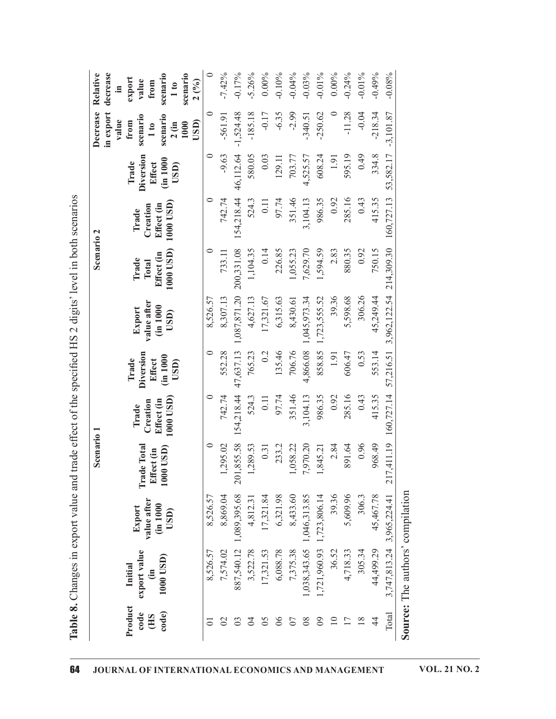| $-0.24%$<br>$-0.49%$<br>$-7.42%$<br>$-5.26%$<br>$-0.03%$<br>$0.00\%$<br>$-0.01\%$<br>$-0.17%$<br>0.00%<br>$-0.04%$<br>$-0.01\%$<br>scenario<br>$-0.10%$<br>scenario<br>export<br>value<br>2(%)<br>from<br>$\frac{1}{10}$<br>$\circ$<br>$-1,524.48$<br>$-185.18$<br>$-11.28$<br>$-0.04$<br>$-218.34$<br>$-561.91$<br>$-6.35$<br>$-2.99$<br>$-250.62$<br>$\circ$<br>$-0.17$<br>$-340.51$<br>scenario<br>scenario<br>value<br>from<br>USD)<br>$2$ (in<br>1000<br>1 to<br>Diversion<br>$\circ$<br>$-9.63$<br>46,112.64<br>334.8<br>64.0<br>580.05<br>0.03<br>608.24<br>595.19<br>129.11<br>4,525.57<br>1.91<br>703.77<br>(in 1000)<br><b>Effect</b><br>Trade<br>USD)<br>$\circ$<br>742.74<br>154,218.44<br>97.74<br>285.16<br>351.46<br>986.35<br>415.35<br>3,104.13<br>0.43<br>524.3<br>0.11<br>0.92<br>1000 USD)<br>Effect (in<br>Creation<br>Trade<br>1000 USD)<br>$\circ$<br>200,331.08<br>1,594.59<br>$\overline{4}$<br>226.85<br>7,629.70<br>880.35<br>0.92<br>$\overline{15}$<br>1,104.35<br>1,055.23<br>2.83<br>733.11<br>Effect (in<br>Trade<br>750.<br>$\ddot{\circ}$<br>Total<br>1,087,871.20<br>39.36<br>306.26<br>45,249.44<br>8,526.57<br>8,307.13<br>4,627.13<br>6,315.63<br>1,045,973.34<br>1,723,555.52<br>5,598.68<br>17,321.67<br>8,430.61<br>value after<br>(in 1000<br>Export<br>USD)<br>$\circ$<br>47,637.13<br>135.46<br>706.76<br>Diversion<br>552.28<br>4,866.08<br>858.85<br>553.14<br>765.23<br>0.2<br>0.53<br>606.47<br>1.91<br>(in 1000<br>Trade<br><b>Effect</b><br>USD)<br>154,218.44<br>97.74<br>$\circ$<br>742.74<br>351.46<br>3,104.13<br>986.35<br>415.35<br>285.16<br>0.43<br>524.3<br>1000 USD)<br>0.11<br>0.92<br>Effect (in<br>Creation<br>Trade<br>201,855.58<br><b>Trade Total</b><br>$\circ$<br>1,295.02<br>7,970.20<br>891.64<br>0.96<br>968.49<br>1,289.53<br>2.84<br>0.31<br>233.2<br>1,058.22<br>1,845.21<br>1000 USD)<br>Effect (in<br>1,089,395.68<br>39.36<br>5,609.96<br>8,869.04<br>6,321.98<br>8,433.60<br>1,723,806.14<br>306.3<br>45,467.78<br>17,321.84<br>1,046,313.85<br>8,526.57<br>4,812.31<br>value after<br>(im 1000<br>Export<br>USD) |
|-------------------------------------------------------------------------------------------------------------------------------------------------------------------------------------------------------------------------------------------------------------------------------------------------------------------------------------------------------------------------------------------------------------------------------------------------------------------------------------------------------------------------------------------------------------------------------------------------------------------------------------------------------------------------------------------------------------------------------------------------------------------------------------------------------------------------------------------------------------------------------------------------------------------------------------------------------------------------------------------------------------------------------------------------------------------------------------------------------------------------------------------------------------------------------------------------------------------------------------------------------------------------------------------------------------------------------------------------------------------------------------------------------------------------------------------------------------------------------------------------------------------------------------------------------------------------------------------------------------------------------------------------------------------------------------------------------------------------------------------------------------------------------------------------------------------------------------------------------------------------------------------------------------------------------------------------------------------------------------------------------------------------------------------------------------------------------------------------|
|                                                                                                                                                                                                                                                                                                                                                                                                                                                                                                                                                                                                                                                                                                                                                                                                                                                                                                                                                                                                                                                                                                                                                                                                                                                                                                                                                                                                                                                                                                                                                                                                                                                                                                                                                                                                                                                                                                                                                                                                                                                                                                 |
|                                                                                                                                                                                                                                                                                                                                                                                                                                                                                                                                                                                                                                                                                                                                                                                                                                                                                                                                                                                                                                                                                                                                                                                                                                                                                                                                                                                                                                                                                                                                                                                                                                                                                                                                                                                                                                                                                                                                                                                                                                                                                                 |
|                                                                                                                                                                                                                                                                                                                                                                                                                                                                                                                                                                                                                                                                                                                                                                                                                                                                                                                                                                                                                                                                                                                                                                                                                                                                                                                                                                                                                                                                                                                                                                                                                                                                                                                                                                                                                                                                                                                                                                                                                                                                                                 |
|                                                                                                                                                                                                                                                                                                                                                                                                                                                                                                                                                                                                                                                                                                                                                                                                                                                                                                                                                                                                                                                                                                                                                                                                                                                                                                                                                                                                                                                                                                                                                                                                                                                                                                                                                                                                                                                                                                                                                                                                                                                                                                 |
|                                                                                                                                                                                                                                                                                                                                                                                                                                                                                                                                                                                                                                                                                                                                                                                                                                                                                                                                                                                                                                                                                                                                                                                                                                                                                                                                                                                                                                                                                                                                                                                                                                                                                                                                                                                                                                                                                                                                                                                                                                                                                                 |
|                                                                                                                                                                                                                                                                                                                                                                                                                                                                                                                                                                                                                                                                                                                                                                                                                                                                                                                                                                                                                                                                                                                                                                                                                                                                                                                                                                                                                                                                                                                                                                                                                                                                                                                                                                                                                                                                                                                                                                                                                                                                                                 |
|                                                                                                                                                                                                                                                                                                                                                                                                                                                                                                                                                                                                                                                                                                                                                                                                                                                                                                                                                                                                                                                                                                                                                                                                                                                                                                                                                                                                                                                                                                                                                                                                                                                                                                                                                                                                                                                                                                                                                                                                                                                                                                 |
|                                                                                                                                                                                                                                                                                                                                                                                                                                                                                                                                                                                                                                                                                                                                                                                                                                                                                                                                                                                                                                                                                                                                                                                                                                                                                                                                                                                                                                                                                                                                                                                                                                                                                                                                                                                                                                                                                                                                                                                                                                                                                                 |
|                                                                                                                                                                                                                                                                                                                                                                                                                                                                                                                                                                                                                                                                                                                                                                                                                                                                                                                                                                                                                                                                                                                                                                                                                                                                                                                                                                                                                                                                                                                                                                                                                                                                                                                                                                                                                                                                                                                                                                                                                                                                                                 |
|                                                                                                                                                                                                                                                                                                                                                                                                                                                                                                                                                                                                                                                                                                                                                                                                                                                                                                                                                                                                                                                                                                                                                                                                                                                                                                                                                                                                                                                                                                                                                                                                                                                                                                                                                                                                                                                                                                                                                                                                                                                                                                 |
|                                                                                                                                                                                                                                                                                                                                                                                                                                                                                                                                                                                                                                                                                                                                                                                                                                                                                                                                                                                                                                                                                                                                                                                                                                                                                                                                                                                                                                                                                                                                                                                                                                                                                                                                                                                                                                                                                                                                                                                                                                                                                                 |
|                                                                                                                                                                                                                                                                                                                                                                                                                                                                                                                                                                                                                                                                                                                                                                                                                                                                                                                                                                                                                                                                                                                                                                                                                                                                                                                                                                                                                                                                                                                                                                                                                                                                                                                                                                                                                                                                                                                                                                                                                                                                                                 |
|                                                                                                                                                                                                                                                                                                                                                                                                                                                                                                                                                                                                                                                                                                                                                                                                                                                                                                                                                                                                                                                                                                                                                                                                                                                                                                                                                                                                                                                                                                                                                                                                                                                                                                                                                                                                                                                                                                                                                                                                                                                                                                 |
|                                                                                                                                                                                                                                                                                                                                                                                                                                                                                                                                                                                                                                                                                                                                                                                                                                                                                                                                                                                                                                                                                                                                                                                                                                                                                                                                                                                                                                                                                                                                                                                                                                                                                                                                                                                                                                                                                                                                                                                                                                                                                                 |
| $-0.08%$<br>$-3,101.87$<br>53,582.17<br>160,727.13<br>214,309.30<br>3,962,122.54<br>57,216.51<br>160,727.14<br>217,411.19<br>3,965,224.41                                                                                                                                                                                                                                                                                                                                                                                                                                                                                                                                                                                                                                                                                                                                                                                                                                                                                                                                                                                                                                                                                                                                                                                                                                                                                                                                                                                                                                                                                                                                                                                                                                                                                                                                                                                                                                                                                                                                                       |

 $\bm \omega$  $\mathbin{\sim}$